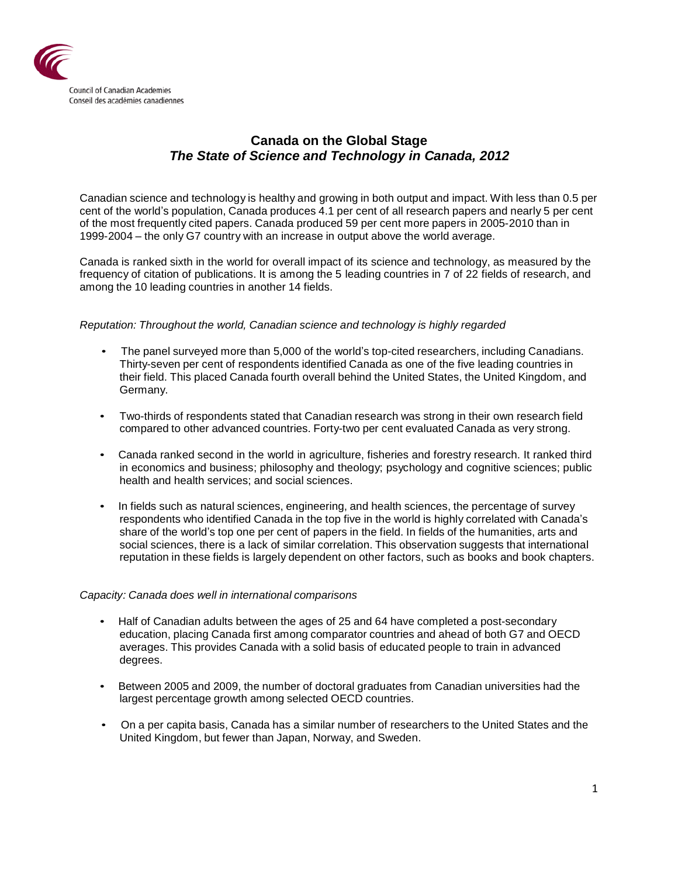

# **Canada on the Global Stage** *The State of Science and Technology in Canada, 2012*

Canadian science and technology is healthy and growing in both output and impact. With less than 0.5 per cent of the world's population, Canada produces 4.1 per cent of all research papers and nearly 5 per cent of the most frequently cited papers. Canada produced 59 per cent more papers in 2005-2010 than in 1999-2004 – the only G7 country with an increase in output above the world average.

Canada is ranked sixth in the world for overall impact of its science and technology, as measured by the frequency of citation of publications. It is among the 5 leading countries in 7 of 22 fields of research, and among the 10 leading countries in another 14 fields.

## *Reputation: Throughout the world, Canadian science and technology is highly regarded*

- The panel surveyed more than 5,000 of the world's top-cited researchers, including Canadians. Thirty-seven per cent of respondents identified Canada as one of the five leading countries in their field. This placed Canada fourth overall behind the United States, the United Kingdom, and Germany.
- Two-thirds of respondents stated that Canadian research was strong in their own research field compared to other advanced countries. Forty-two per cent evaluated Canada as very strong.
- Canada ranked second in the world in agriculture, fisheries and forestry research. It ranked third in economics and business; philosophy and theology; psychology and cognitive sciences; public health and health services; and social sciences.
- In fields such as natural sciences, engineering, and health sciences, the percentage of survey respondents who identified Canada in the top five in the world is highly correlated with Canada's share of the world's top one per cent of papers in the field. In fields of the humanities, arts and social sciences, there is a lack of similar correlation. This observation suggests that international reputation in these fields is largely dependent on other factors, such as books and book chapters.

#### *Capacity: Canada does well in international comparisons*

- Half of Canadian adults between the ages of 25 and 64 have completed a post-secondary education, placing Canada first among comparator countries and ahead of both G7 and OECD averages. This provides Canada with a solid basis of educated people to train in advanced degrees.
- Between 2005 and 2009, the number of doctoral graduates from Canadian universities had the largest percentage growth among selected OECD countries.
- On a per capita basis, Canada has a similar number of researchers to the United States and the United Kingdom, but fewer than Japan, Norway, and Sweden.